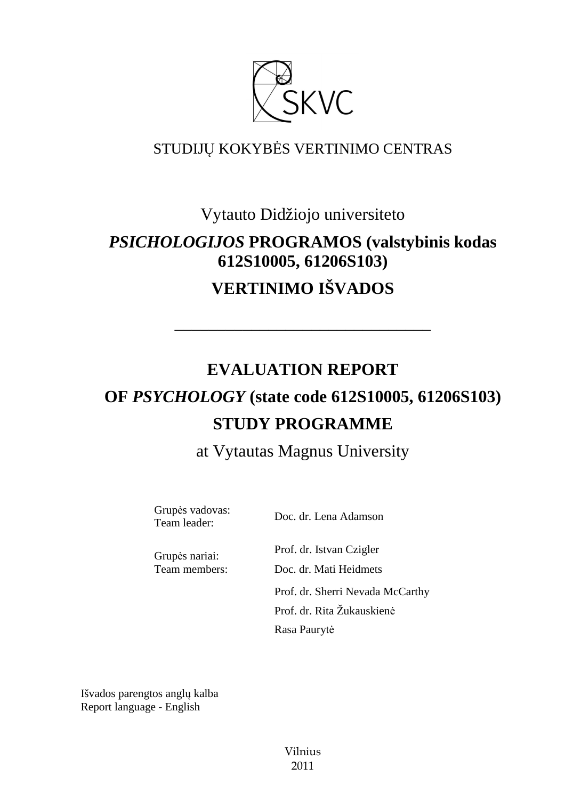

# STUDIJŲ KOKYBĖS VERTINIMO CENTRAS

# Vytauto Didžiojo universiteto *PSICHOLOGIJOS* **PROGRAMOS (valstybinis kodas 612S10005, 61206S103) VERTINIMO IŠVADOS**

# **EVALUATION REPORT OF** *PSYCHOLOGY* **(state code 612S10005, 61206S103) STUDY PROGRAMME**

––––––––––––––––––––––––––––––

at Vytautas Magnus University

Grupės vadovas:<br>Team leader:

Doc. dr. Lena Adamson

Prof. dr. Istvan Czigler Grupės nariai: Team members: Doc. dr. Mati Heidmets Prof. dr. Sherri Nevada McCarthy Prof. dr. Rita Žukauskienė Rasa Paurytė

Išvados parengtos anglų kalba Report language - English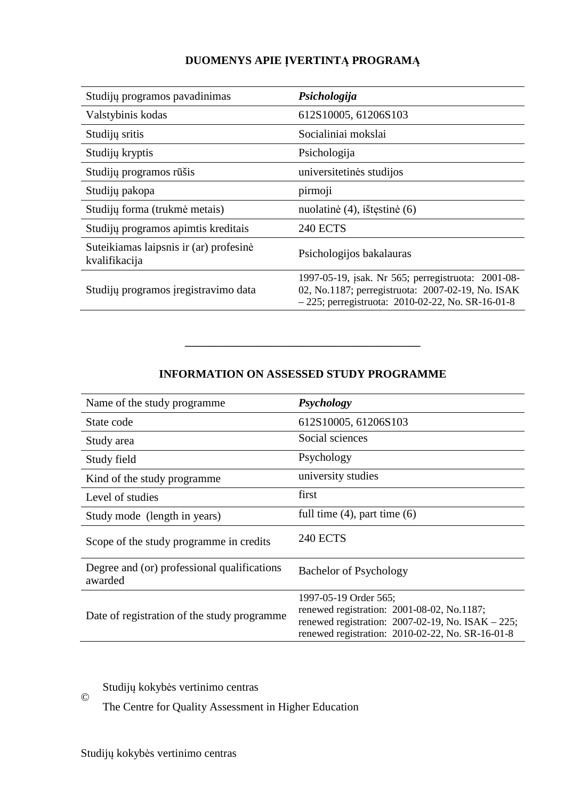# **DUOMENYS APIE ĮVERTINTĄ PROGRAMĄ**

| Studijų programos pavadinimas                           | Psichologija                                                                                                                                                   |
|---------------------------------------------------------|----------------------------------------------------------------------------------------------------------------------------------------------------------------|
| Valstybinis kodas                                       | 612S10005, 61206S103                                                                                                                                           |
| Studijų sritis                                          | Socialiniai mokslai                                                                                                                                            |
| Studijų kryptis                                         | Psichologija                                                                                                                                                   |
| Studijų programos rūšis                                 | universitetinės studijos                                                                                                                                       |
| Studijų pakopa                                          | pirmoji                                                                                                                                                        |
| Studijų forma (trukmė metais)                           | nuolatinė (4), ištęstinė (6)                                                                                                                                   |
| Studijų programos apimtis kreditais                     | <b>240 ECTS</b>                                                                                                                                                |
| Suteikiamas laipsnis ir (ar) profesinė<br>kvalifikacija | Psichologijos bakalauras                                                                                                                                       |
| Studijų programos įregistravimo data                    | 1997-05-19, jsak. Nr 565; perregistruota: 2001-08-<br>02, No.1187; perregistruota: 2007-02-19, No. ISAK<br>$-225$ ; perregistruota: 2010-02-22, No. SR-16-01-8 |

# **INFORMATION ON ASSESSED STUDY PROGRAMME**

–––––––––––––––––––––––––––––––

| Name of the study programme.                           | <b>Psychology</b>                                                                                                                                                                 |
|--------------------------------------------------------|-----------------------------------------------------------------------------------------------------------------------------------------------------------------------------------|
| State code                                             | 612S10005, 61206S103                                                                                                                                                              |
| Study area                                             | Social sciences                                                                                                                                                                   |
| Study field                                            | Psychology                                                                                                                                                                        |
| Kind of the study programme.                           | university studies                                                                                                                                                                |
| Level of studies                                       | first                                                                                                                                                                             |
| Study mode (length in years)                           | full time $(4)$ , part time $(6)$                                                                                                                                                 |
| Scope of the study programme in credits                | <b>240 ECTS</b>                                                                                                                                                                   |
| Degree and (or) professional qualifications<br>awarded | <b>Bachelor of Psychology</b>                                                                                                                                                     |
| Date of registration of the study programme            | 1997-05-19 Order 565;<br>renewed registration: 2001-08-02, No.1187;<br>renewed registration: $2007-02-19$ , No. ISAK $-225$ ;<br>renewed registration: 2010-02-22, No. SR-16-01-8 |

#### Studijų kokybės vertinimo centras ©

The Centre for Quality Assessment in Higher Education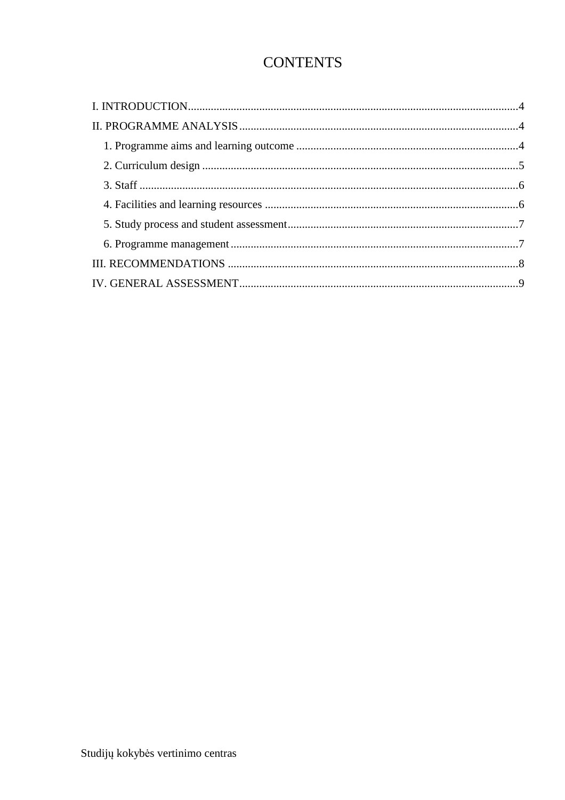# **CONTENTS**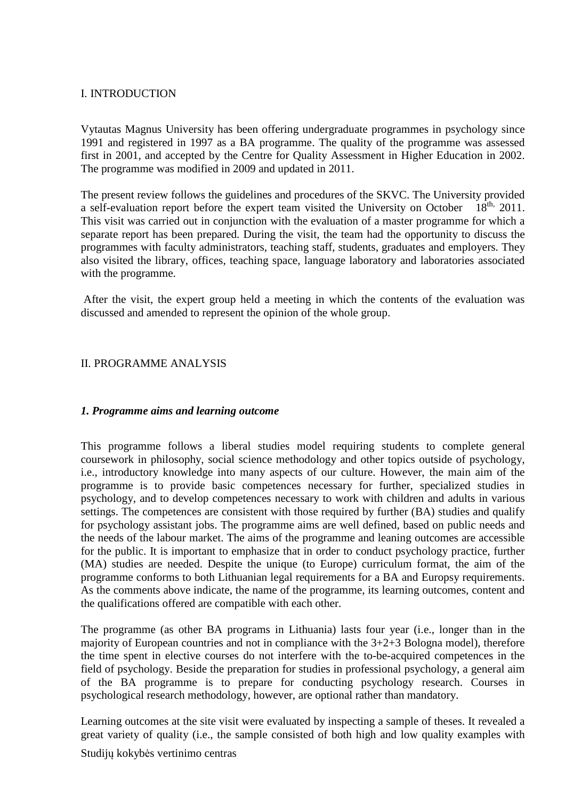#### I. INTRODUCTION

Vytautas Magnus University has been offering undergraduate programmes in psychology since 1991 and registered in 1997 as a BA programme. The quality of the programme was assessed first in 2001, and accepted by the Centre for Quality Assessment in Higher Education in 2002. The programme was modified in 2009 and updated in 2011.

The present review follows the guidelines and procedures of the SKVC. The University provided a self-evaluation report before the expert team visited the University on October  $18<sup>th</sup>$ , 2011. a self-evaluation report before the expert team visited the University on October This visit was carried out in conjunction with the evaluation of a master programme for which a separate report has been prepared. During the visit, the team had the opportunity to discuss the programmes with faculty administrators, teaching staff, students, graduates and employers. They also visited the library, offices, teaching space, language laboratory and laboratories associated with the programme.

 After the visit, the expert group held a meeting in which the contents of the evaluation was discussed and amended to represent the opinion of the whole group.

#### II. PROGRAMME ANALYSIS

#### *1. Programme aims and learning outcome*

This programme follows a liberal studies model requiring students to complete general coursework in philosophy, social science methodology and other topics outside of psychology, i.e., introductory knowledge into many aspects of our culture. However, the main aim of the programme is to provide basic competences necessary for further, specialized studies in psychology, and to develop competences necessary to work with children and adults in various settings. The competences are consistent with those required by further (BA) studies and qualify for psychology assistant jobs. The programme aims are well defined, based on public needs and the needs of the labour market. The aims of the programme and leaning outcomes are accessible for the public. It is important to emphasize that in order to conduct psychology practice, further (MA) studies are needed. Despite the unique (to Europe) curriculum format, the aim of the programme conforms to both Lithuanian legal requirements for a BA and Europsy requirements. As the comments above indicate, the name of the programme, its learning outcomes, content and the qualifications offered are compatible with each other.

The programme (as other BA programs in Lithuania) lasts four year (i.e., longer than in the majority of European countries and not in compliance with the 3+2+3 Bologna model), therefore the time spent in elective courses do not interfere with the to-be-acquired competences in the field of psychology. Beside the preparation for studies in professional psychology, a general aim of the BA programme is to prepare for conducting psychology research. Courses in psychological research methodology, however, are optional rather than mandatory.

Learning outcomes at the site visit were evaluated by inspecting a sample of theses. It revealed a great variety of quality (i.e., the sample consisted of both high and low quality examples with

Studijų kokybės vertinimo centras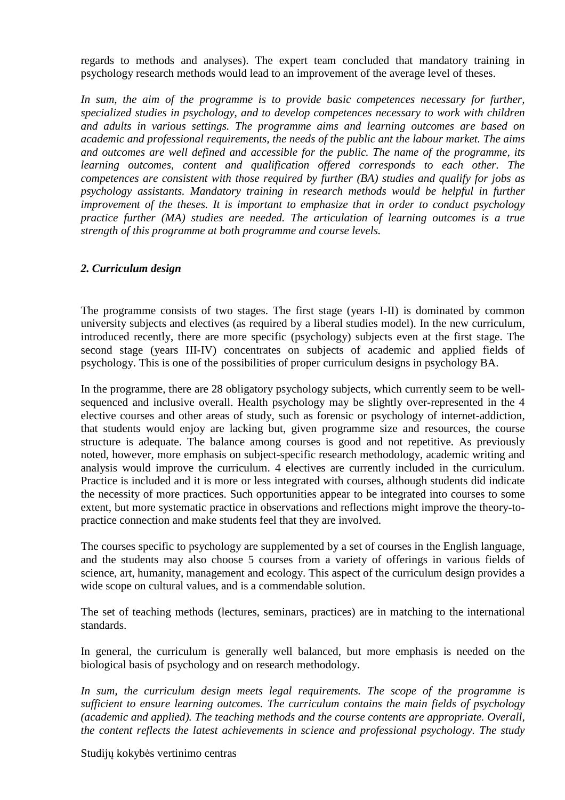regards to methods and analyses). The expert team concluded that mandatory training in psychology research methods would lead to an improvement of the average level of theses.

In sum, the aim of the programme is to provide basic competences necessary for further, *specialized studies in psychology, and to develop competences necessary to work with children and adults in various settings. The programme aims and learning outcomes are based on academic and professional requirements, the needs of the public ant the labour market. The aims and outcomes are well defined and accessible for the public. The name of the programme, its learning outcomes, content and qualification offered corresponds to each other. The competences are consistent with those required by further (BA) studies and qualify for jobs as psychology assistants. Mandatory training in research methods would be helpful in further improvement of the theses. It is important to emphasize that in order to conduct psychology practice further (MA) studies are needed. The articulation of learning outcomes is a true strength of this programme at both programme and course levels.* 

### *2. Curriculum design*

The programme consists of two stages. The first stage (years I-II) is dominated by common university subjects and electives (as required by a liberal studies model). In the new curriculum, introduced recently, there are more specific (psychology) subjects even at the first stage. The second stage (years III-IV) concentrates on subjects of academic and applied fields of psychology. This is one of the possibilities of proper curriculum designs in psychology BA.

In the programme, there are 28 obligatory psychology subjects, which currently seem to be wellsequenced and inclusive overall. Health psychology may be slightly over-represented in the 4 elective courses and other areas of study, such as forensic or psychology of internet-addiction, that students would enjoy are lacking but, given programme size and resources, the course structure is adequate. The balance among courses is good and not repetitive. As previously noted, however, more emphasis on subject-specific research methodology, academic writing and analysis would improve the curriculum. 4 electives are currently included in the curriculum. Practice is included and it is more or less integrated with courses, although students did indicate the necessity of more practices. Such opportunities appear to be integrated into courses to some extent, but more systematic practice in observations and reflections might improve the theory-topractice connection and make students feel that they are involved.

The courses specific to psychology are supplemented by a set of courses in the English language, and the students may also choose 5 courses from a variety of offerings in various fields of science, art, humanity, management and ecology. This aspect of the curriculum design provides a wide scope on cultural values, and is a commendable solution.

The set of teaching methods (lectures, seminars, practices) are in matching to the international standards.

In general, the curriculum is generally well balanced, but more emphasis is needed on the biological basis of psychology and on research methodology.

*In sum, the curriculum design meets legal requirements. The scope of the programme is sufficient to ensure learning outcomes. The curriculum contains the main fields of psychology (academic and applied). The teaching methods and the course contents are appropriate. Overall, the content reflects the latest achievements in science and professional psychology. The study* 

Studijų kokybės vertinimo centras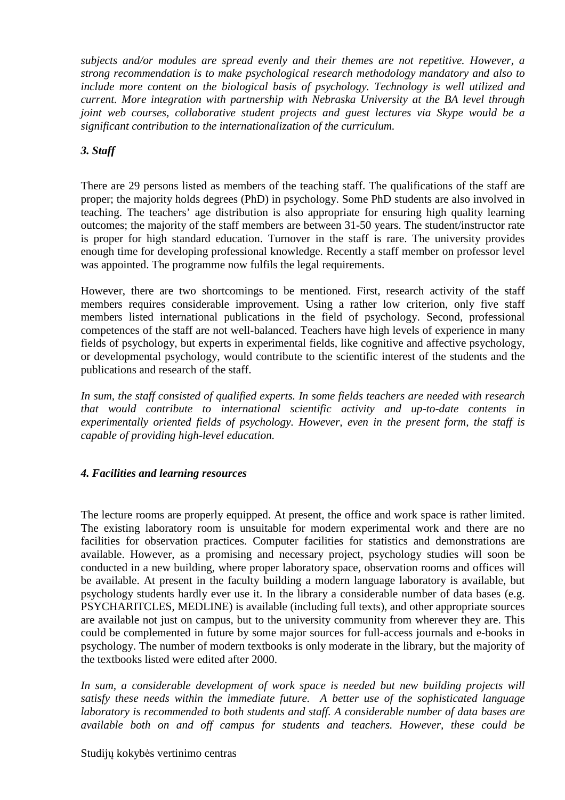*subjects and/or modules are spread evenly and their themes are not repetitive. However, a strong recommendation is to make psychological research methodology mandatory and also to include more content on the biological basis of psychology. Technology is well utilized and current. More integration with partnership with Nebraska University at the BA level through joint web courses, collaborative student projects and guest lectures via Skype would be a significant contribution to the internationalization of the curriculum.*

## *3. Staff*

There are 29 persons listed as members of the teaching staff. The qualifications of the staff are proper; the majority holds degrees (PhD) in psychology. Some PhD students are also involved in teaching. The teachers' age distribution is also appropriate for ensuring high quality learning outcomes; the majority of the staff members are between 31-50 years. The student/instructor rate is proper for high standard education. Turnover in the staff is rare. The university provides enough time for developing professional knowledge. Recently a staff member on professor level was appointed. The programme now fulfils the legal requirements.

However, there are two shortcomings to be mentioned. First, research activity of the staff members requires considerable improvement. Using a rather low criterion, only five staff members listed international publications in the field of psychology. Second, professional competences of the staff are not well-balanced. Teachers have high levels of experience in many fields of psychology, but experts in experimental fields, like cognitive and affective psychology, or developmental psychology, would contribute to the scientific interest of the students and the publications and research of the staff.

*In sum, the staff consisted of qualified experts. In some fields teachers are needed with research that would contribute to international scientific activity and up-to-date contents in experimentally oriented fields of psychology. However, even in the present form, the staff is capable of providing high-level education.* 

### *4. Facilities and learning resources*

The lecture rooms are properly equipped. At present, the office and work space is rather limited. The existing laboratory room is unsuitable for modern experimental work and there are no facilities for observation practices. Computer facilities for statistics and demonstrations are available. However, as a promising and necessary project, psychology studies will soon be conducted in a new building, where proper laboratory space, observation rooms and offices will be available. At present in the faculty building a modern language laboratory is available, but psychology students hardly ever use it. In the library a considerable number of data bases (e.g. PSYCHARITCLES, MEDLINE) is available (including full texts), and other appropriate sources are available not just on campus, but to the university community from wherever they are. This could be complemented in future by some major sources for full-access journals and e-books in psychology. The number of modern textbooks is only moderate in the library, but the majority of the textbooks listed were edited after 2000.

In sum, a considerable development of work space is needed but new building projects will *satisfy these needs within the immediate future. A better use of the sophisticated language laboratory is recommended to both students and staff. A considerable number of data bases are available both on and off campus for students and teachers. However, these could be*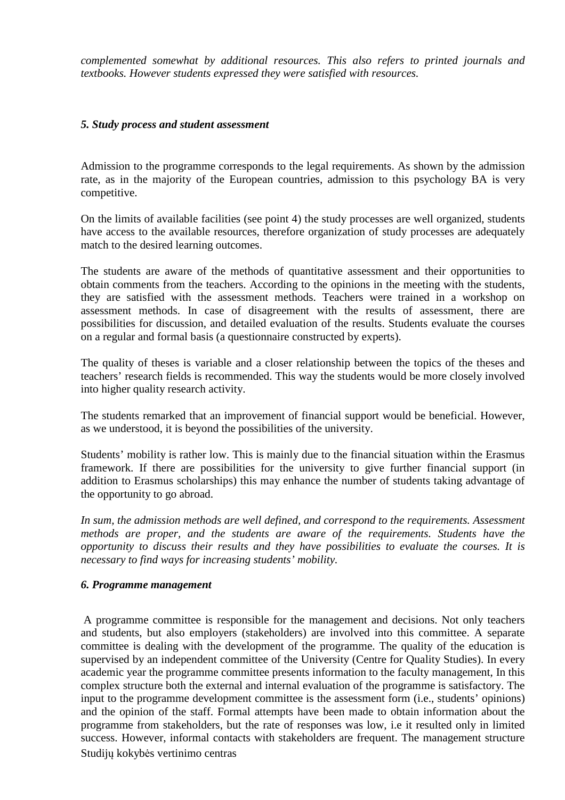*complemented somewhat by additional resources. This also refers to printed journals and textbooks. However students expressed they were satisfied with resources.* 

#### *5. Study process and student assessment*

Admission to the programme corresponds to the legal requirements. As shown by the admission rate, as in the majority of the European countries, admission to this psychology BA is very competitive.

On the limits of available facilities (see point 4) the study processes are well organized, students have access to the available resources, therefore organization of study processes are adequately match to the desired learning outcomes.

The students are aware of the methods of quantitative assessment and their opportunities to obtain comments from the teachers. According to the opinions in the meeting with the students, they are satisfied with the assessment methods. Teachers were trained in a workshop on assessment methods. In case of disagreement with the results of assessment, there are possibilities for discussion, and detailed evaluation of the results. Students evaluate the courses on a regular and formal basis (a questionnaire constructed by experts).

The quality of theses is variable and a closer relationship between the topics of the theses and teachers' research fields is recommended. This way the students would be more closely involved into higher quality research activity.

The students remarked that an improvement of financial support would be beneficial. However, as we understood, it is beyond the possibilities of the university.

Students' mobility is rather low. This is mainly due to the financial situation within the Erasmus framework. If there are possibilities for the university to give further financial support (in addition to Erasmus scholarships) this may enhance the number of students taking advantage of the opportunity to go abroad.

*In sum, the admission methods are well defined, and correspond to the requirements. Assessment methods are proper, and the students are aware of the requirements. Students have the opportunity to discuss their results and they have possibilities to evaluate the courses. It is necessary to find ways for increasing students' mobility.* 

#### *6. Programme management*

Studijų kokybės vertinimo centras A programme committee is responsible for the management and decisions. Not only teachers and students, but also employers (stakeholders) are involved into this committee. A separate committee is dealing with the development of the programme. The quality of the education is supervised by an independent committee of the University (Centre for Quality Studies). In every academic year the programme committee presents information to the faculty management, In this complex structure both the external and internal evaluation of the programme is satisfactory. The input to the programme development committee is the assessment form (i.e., students' opinions) and the opinion of the staff. Formal attempts have been made to obtain information about the programme from stakeholders, but the rate of responses was low, i.e it resulted only in limited success. However, informal contacts with stakeholders are frequent. The management structure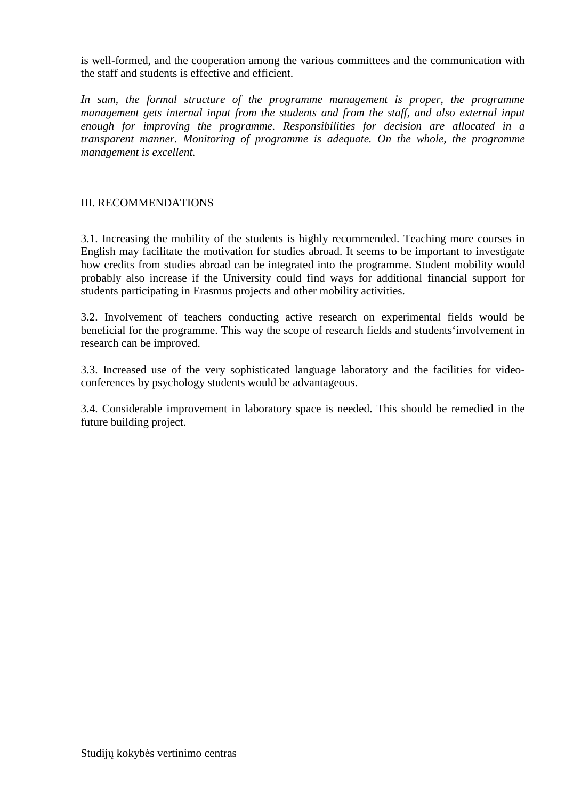is well-formed, and the cooperation among the various committees and the communication with the staff and students is effective and efficient.

In sum, the formal structure of the programme management is proper, the programme *management gets internal input from the students and from the staff, and also external input enough for improving the programme. Responsibilities for decision are allocated in a transparent manner. Monitoring of programme is adequate. On the whole, the programme management is excellent.* 

#### III. RECOMMENDATIONS

3.1. Increasing the mobility of the students is highly recommended. Teaching more courses in English may facilitate the motivation for studies abroad. It seems to be important to investigate how credits from studies abroad can be integrated into the programme. Student mobility would probably also increase if the University could find ways for additional financial support for students participating in Erasmus projects and other mobility activities.

3.2. Involvement of teachers conducting active research on experimental fields would be beneficial for the programme. This way the scope of research fields and students'involvement in research can be improved.

3.3. Increased use of the very sophisticated language laboratory and the facilities for videoconferences by psychology students would be advantageous.

3.4. Considerable improvement in laboratory space is needed. This should be remedied in the future building project.